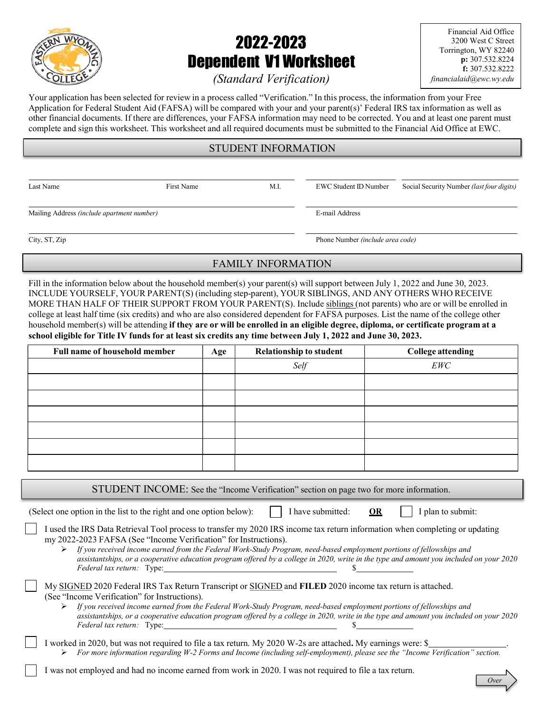

# 2022-2023 Dependent V1 Worksheet

Financial Aid Office 3200 West C Street Torrington, WY 82240 p: 307.532.8224 f: 307.532.8222 financialaid@ewc.wy.edu

# (Standard Verification)

Your application has been selected for review in a process called "Verification." In this process, the information from your Free Application for Federal Student Aid (FAFSA) will be compared with your and your parent(s)' Federal IRS tax information as well as other financial documents. If there are differences, your FAFSA information may need to be corrected. You and at least one parent must complete and sign this worksheet. This worksheet and all required documents must be submitted to the Financial Aid Office at EWC.

## STUDENT INFORMATION

Last Name First Name First Name M.I. EWC Student ID Number Social Security Number (last four digits)

Mailing Address (include apartment number) E-mail Address

City, ST, Zip Phone Number *(include area code)* 

# FAMILY INFORMATION

Fill in the information below about the household member(s) your parent(s) will support between July 1, 2022 and June 30, 2023. INCLUDE YOURSELF, YOUR PARENT(S) (including step-parent), YOUR SIBLINGS, AND ANY OTHERS WHO RECEIVE MORE THAN HALF OF THEIR SUPPORT FROM YOUR PARENT(S). Include siblings (not parents) who are or will be enrolled in college at least half time (six credits) and who are also considered dependent for FAFSA purposes. List the name of the college other household member(s) will be attending if they are or will be enrolled in an eligible degree, diploma, or certificate program at a school eligible for Title IV funds for at least six credits any time between July 1, 2022 and June 30, 2023.

| Full name of household member | Age | <b>Relationship to student</b> | <b>College attending</b> |
|-------------------------------|-----|--------------------------------|--------------------------|
|                               |     | Self                           | EWC                      |
|                               |     |                                |                          |
|                               |     |                                |                          |
|                               |     |                                |                          |
|                               |     |                                |                          |
|                               |     |                                |                          |
|                               |     |                                |                          |
|                               |     |                                |                          |

STUDENT INCOME: See the "Income Verification" section on page two for more information.

(Select one option in the list to the right and one option below):  $\parallel$  I have submitted: OR I plan to submit:

| I used the IRS Data Retrieval Tool process to transfer my 2020 IRS income tax return information when completing or updating |
|------------------------------------------------------------------------------------------------------------------------------|
| my 2022-2023 FAFSA (See "Income Verification" for Instructions).                                                             |

 If you received income earned from the Federal Work-Study Program, need-based employment portions of fellowships and assistantships, or a cooperative education program offered by a college in 2020, write in the type and amount you included on your 2020 Federal tax return: Type: \$

| My SIGNED 2020 Federal IRS Tax Return Transcript or SIGNED and FILED 2020 income tax return is attached. |  |  |
|----------------------------------------------------------------------------------------------------------|--|--|
| (See "Income Verification" for Instructions).                                                            |  |  |

 $\triangleright$  If you received income earned from the Federal Work-Study Program, need-based employment portions of fellowships and assistantships, or a cooperative education program offered by a college in 2020, write in the type and amount you included on your 2020 Federal tax return: Type:

I worked in 2020, but was not required to file a tax return. My 2020 W-2s are attached. My earnings were: \$ For more information regarding W-2 Forms and Income (including self-employment), please see the "Income Verification" section.

I was not employed and had no income earned from work in 2020. I was not required to file a tax return.